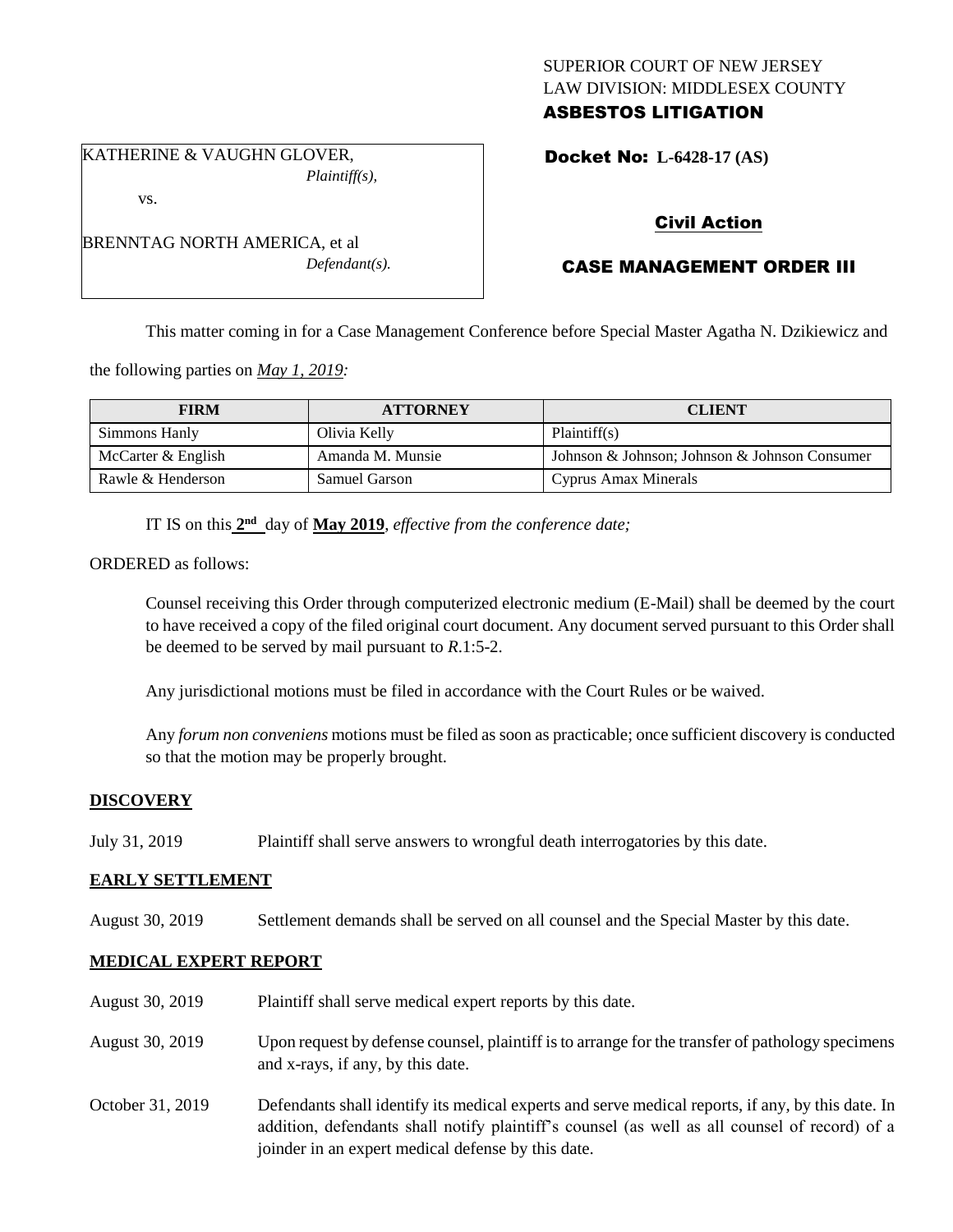# SUPERIOR COURT OF NEW JERSEY LAW DIVISION: MIDDLESEX COUNTY ASBESTOS LITIGATION

KATHERINE & VAUGHN GLOVER, *Plaintiff(s),*

vs.

BRENNTAG NORTH AMERICA, et al *Defendant(s).* Docket No: **L-6428-17 (AS)** 

# Civil Action

# CASE MANAGEMENT ORDER III

This matter coming in for a Case Management Conference before Special Master Agatha N. Dzikiewicz and

the following parties on *May 1, 2019:*

| <b>FIRM</b>          | <b>ATTORNEY</b>  | <b>CLIENT</b>                                 |
|----------------------|------------------|-----------------------------------------------|
| Simmons Hanly        | Olivia Kelly     | Plaintiff(s)                                  |
| McCarter $&$ English | Amanda M. Munsie | Johnson & Johnson; Johnson & Johnson Consumer |
| Rawle & Henderson    | Samuel Garson    | Cyprus Amax Minerals                          |

IT IS on this  $2<sup>nd</sup>$  day of May 2019, *effective from the conference date*;

ORDERED as follows:

Counsel receiving this Order through computerized electronic medium (E-Mail) shall be deemed by the court to have received a copy of the filed original court document. Any document served pursuant to this Order shall be deemed to be served by mail pursuant to *R*.1:5-2.

Any jurisdictional motions must be filed in accordance with the Court Rules or be waived.

Any *forum non conveniens* motions must be filed as soon as practicable; once sufficient discovery is conducted so that the motion may be properly brought.

# **DISCOVERY**

July 31, 2019 Plaintiff shall serve answers to wrongful death interrogatories by this date.

## **EARLY SETTLEMENT**

August 30, 2019 Settlement demands shall be served on all counsel and the Special Master by this date.

## **MEDICAL EXPERT REPORT**

August 30, 2019 Plaintiff shall serve medical expert reports by this date. August 30, 2019 Upon request by defense counsel, plaintiff is to arrange for the transfer of pathology specimens and x-rays, if any, by this date. October 31, 2019 Defendants shall identify its medical experts and serve medical reports, if any, by this date. In addition, defendants shall notify plaintiff's counsel (as well as all counsel of record) of a joinder in an expert medical defense by this date.